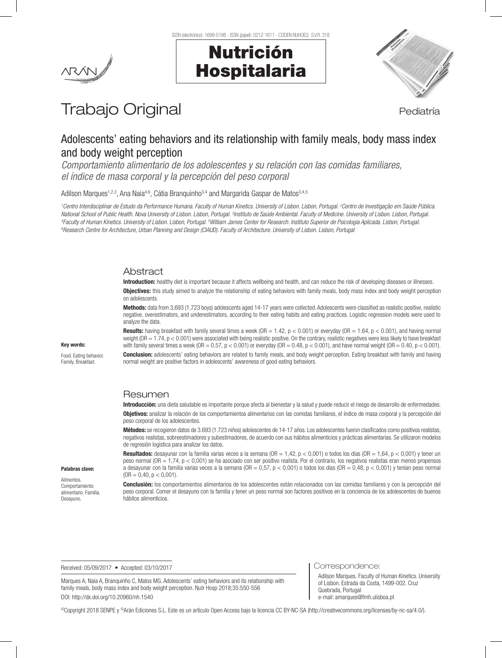ISSN (electrónico): 1699-5198 - ISSN (papel): 0212-1611 - CODEN NUHOEQ S.V.R. 318





# Trabajo Original **Pediatría**

# Adolescents' eating behaviors and its relationship with family meals, body mass index and body weight perception

*Comportamiento alimentario de los adolescentes y su relación con las comidas familiares, el índice de masa corporal y la percepción del peso corporal*

Adilson Marques<sup>1,2,3</sup>, Ana Naia<sup>4,6</sup>, Cátia Branquinho<sup>3,4</sup> and Margarida Gaspar de Matos<sup>3,4,5</sup>

*1 Centro Interdisciplinar de Estudo da Performance Humana. Faculty of Human Kinetics. University of Lisbon. Lisbon, Portugal. 2 Centro de Investigação em Saúde Pública.*  National School of Public Health. Nova University of Lisbon, Lisbon, Portugal. <sup>3</sup>Instituto de Saúde Ambiental. Faculty of Medicine. University of Lisbon. Lisbon, Portugal.<br><sup>4</sup>Faculty of Human Kinetics Thiversity of Lisbon <sup>4</sup>Faculty of Human Kinetics. University of Lisbon, Lisbon, Portugal. <sup>s</sup>William James Center for Research. Instituto Superior de Psicologia Aplicada. Lisbon, Portugal.<br>®Besearch Centre for Architecture Thano Planning and *Research Centre for Architecture, Urban Planning and Design (CIAUD). Faculty of Architecture. University of Lisbon. Lisbon, Portugal*

#### Abstract

Introduction: healthy diet is important because it affects wellbeing and health, and can reduce the risk of developing diseases or illnesses.

**Objectives:** this study aimed to analyze the relationship of eating behaviors with family meals, body mass index and body weight perception on adolescents.

Methods: data from 3,693 (1,723 boys) adolescents aged 14-17 years were collected. Adolescents were classified as realistic positive, realistic negative, overestimators, and underestimators, according to their eating habits and eating practices. Logistic regression models were used to analyze the data.

Key words:

Food. Eating behavior. Family. Breakfast.

Palabras clave: Alimentos. Comportamiento alimentario. Familia. Desayuno.

**Results:** having breakfast with family several times a week ( $OR = 1.42$ ,  $p < 0.001$ ) or everyday ( $OR = 1.64$ ,  $p < 0.001$ ), and having normal weight (OR = 1.74, p < 0.001) were associated with being realistic positive. On the contrary, realistic negatives were less likely to have breakfast with family several times a week (OR =  $0.57$ ,  $p < 0.001$ ) or everyday (OR =  $0.48$ ,  $p < 0.001$ ), and have normal weight (OR =  $0.49$ ,  $p < 0.001$ ). **Conclusion:** adolescents' eating behaviors are related to family meals, and body weight perception. Eating breakfast with family and having normal weight are positive factors in adolescents' awareness of good eating behaviors.

# Resumen

Introducción: una dieta saludable es importante porque afecta al bienestar y la salud y puede reducir el riesgo de desarrollo de enfermedades. Objetivos: analizar la relación de los comportamientos alimentarios con las comidas familiares, el índice de masa corporal y la percepción del peso corporal de los adolescentes.

Métodos: se recogieron datos de 3.693 (1.723 niños) adolescentes de 14-17 años. Los adolescentes fueron clasificados como positivos realistas, negativos realistas, sobreestimadores y subestimadores, de acuerdo con sus hábitos alimenticios y prácticas alimentarias. Se utilizaron modelos de regresión logística para analizar los datos.

Resultados: desayunar con la familia varias veces a la semana ( $OR = 1,42$ ,  $p < 0,001$ ) o todos los días ( $OR = 1,64$ ,  $p < 0,001$ ) y tener un peso normal (OR = 1,74, p < 0,001) se ha asociado con ser positivo realista. Por el contrario, los negativos realistas eran menos propensos a desayunar con la familia varias veces a la semana (OR = 0,57, p < 0,001) o todos los días (OR = 0,48, p < 0,001) y tenían peso normal  $(OR = 0, 40, p < 0, 001).$ 

Conclusión: los comportamientos alimentarios de los adolescentes están relacionados con las comidas familiares y con la percepción del peso corporal. Comer el desayuno con la familia y tener un peso normal son factores positivos en la conciencia de los adolescentes de buenos hábitos alimenticios.

Received: 05/09/2017 • Accepted: 03/10/2017

Correspondence:

Marques A, Naia A, Branquinho C, Matos MG. Adolescents' eating behaviors and its relationship with family meals, body mass index and body weight perception. Nutr Hosp 2018;35:550-556 DOI: http://dx.doi.org/10.20960/nh.1540

Adilson Marques. Faculty of Human Kinetics. University of Lisbon. Estrada da Costa, 1499-002. Cruz Quebrada, Portugal e-mail: amarques@fmh.ulisboa.pt

©Copyright 2018 SENPE y ©Arán Ediciones S.L. Este es un artículo Open Access bajo la licencia CC BY-NC-SA (http://creativecommons.org/licenses/by-nc-sa/4.0/).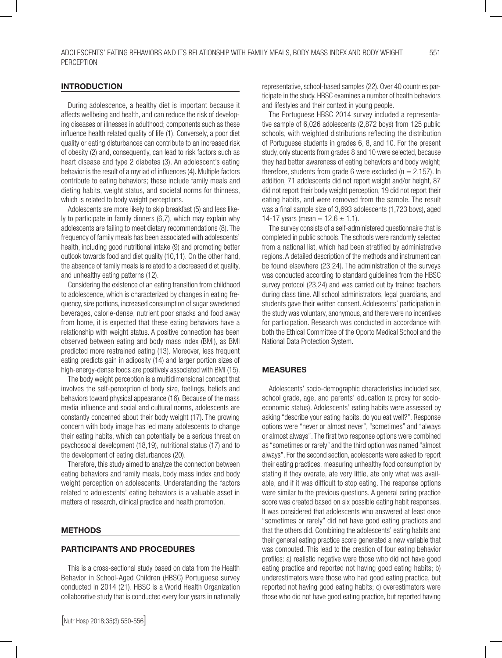# INTRODUCTION

During adolescence, a healthy diet is important because it affects wellbeing and health, and can reduce the risk of developing diseases or illnesses in adulthood; components such as these influence health related quality of life (1). Conversely, a poor diet quality or eating disturbances can contribute to an increased risk of obesity (2) and, consequently, can lead to risk factors such as heart disease and type 2 diabetes (3). An adolescent's eating behavior is the result of a myriad of influences (4). Multiple factors contribute to eating behaviors; these include family meals and dieting habits, weight status, and societal norms for thinness, which is related to body weight perceptions.

Adolescents are more likely to skip breakfast (5) and less likely to participate in family dinners (6,7), which may explain why adolescents are failing to meet dietary recommendations (8). The frequency of family meals has been associated with adolescents' health, including good nutritional intake (9) and promoting better outlook towards food and diet quality (10,11). On the other hand, the absence of family meals is related to a decreased diet quality, and unhealthy eating patterns (12).

Considering the existence of an eating transition from childhood to adolescence, which is characterized by changes in eating frequency, size portions, increased consumption of sugar sweetened beverages, calorie-dense, nutrient poor snacks and food away from home, it is expected that these eating behaviors have a relationship with weight status. A positive connection has been observed between eating and body mass index (BMI), as BMI predicted more restrained eating (13). Moreover, less frequent eating predicts gain in adiposity (14) and larger portion sizes of high-energy-dense foods are positively associated with BMI (15).

The body weight perception is a multidimensional concept that involves the self-perception of body size, feelings, beliefs and behaviors toward physical appearance (16). Because of the mass media influence and social and cultural norms, adolescents are constantly concerned about their body weight (17). The growing concern with body image has led many adolescents to change their eating habits, which can potentially be a serious threat on psychosocial development (18,19), nutritional status (17) and to the development of eating disturbances (20).

Therefore, this study aimed to analyze the connection between eating behaviors and family meals, body mass index and body weight perception on adolescents. Understanding the factors related to adolescents' eating behaviors is a valuable asset in matters of research, clinical practice and health promotion.

#### METHODS

#### PARTICIPANTS AND PROCEDURES

This is a cross-sectional study based on data from the Health Behavior in School-Aged Children (HBSC) Portuguese survey conducted in 2014 (21). HBSC is a World Health Organization collaborative study that is conducted every four years in nationally

representative, school-based samples (22). Over 40 countries participate in the study. HBSC examines a number of health behaviors and lifestyles and their context in young people.

The Portuguese HBSC 2014 survey included a representative sample of 6,026 adolescents (2,872 boys) from 125 public schools, with weighted distributions reflecting the distribution of Portuguese students in grades 6, 8, and 10. For the present study, only students from grades 8 and 10 were selected, because they had better awareness of eating behaviors and body weight; therefore, students from grade 6 were excluded ( $n = 2,157$ ). In addition, 71 adolescents did not report weight and/or height, 87 did not report their body weight perception, 19 did not report their eating habits, and were removed from the sample. The result was a final sample size of 3,693 adolescents (1,723 boys), aged 14-17 years (mean =  $12.6 \pm 1.1$ ).

The survey consists of a self-administered questionnaire that is completed in public schools. The schools were randomly selected from a national list, which had been stratified by administrative regions. A detailed description of the methods and instrument can be found elsewhere (23,24). The administration of the surveys was conducted according to standard guidelines from the HBSC survey protocol (23,24) and was carried out by trained teachers during class time. All school administrators, legal guardians, and students gave their written consent. Adolescents' participation in the study was voluntary, anonymous, and there were no incentives for participation. Research was conducted in accordance with both the Ethical Committee of the Oporto Medical School and the National Data Protection System.

# MEASURES

Adolescents' socio-demographic characteristics included sex, school grade, age, and parents' education (a proxy for socioeconomic status). Adolescents' eating habits were assessed by asking "describe your eating habits, do you eat well?". Response options were "never or almost never", "sometimes" and "always or almost always". The first two response options were combined as "sometimes or rarely" and the third option was named "almost always". For the second section, adolescents were asked to report their eating practices, measuring unhealthy food consumption by stating if they overate, ate very little, ate only what was available, and if it was difficult to stop eating. The response options were similar to the previous questions. A general eating practice score was created based on six possible eating habit responses. It was considered that adolescents who answered at least once "sometimes or rarely" did not have good eating practices and that the others did. Combining the adolescents' eating habits and their general eating practice score generated a new variable that was computed. This lead to the creation of four eating behavior profiles: a) realistic negative were those who did not have good eating practice and reported not having good eating habits; b) underestimators were those who had good eating practice, but reported not having good eating habits; c) overestimators were those who did not have good eating practice, but reported having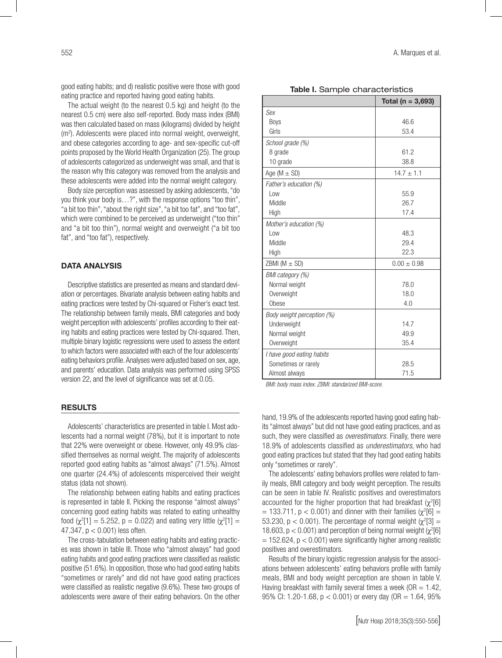good eating habits; and d) realistic positive were those with good eating practice and reported having good eating habits.

The actual weight (to the nearest 0.5 kg) and height (to the nearest 0.5 cm) were also self-reported. Body mass index (BMI) was then calculated based on mass (kilograms) divided by height (m2 ). Adolescents were placed into normal weight, overweight, and obese categories according to age- and sex-specific cut-off points proposed by the World Health Organization (25). The group of adolescents categorized as underweight was small, and that is the reason why this category was removed from the analysis and these adolescents were added into the normal weight category.

Body size perception was assessed by asking adolescents, "do you think your body is…?", with the response options "too thin", "a bit too thin", "about the right size", "a bit too fat", and "too fat", which were combined to be perceived as underweight ("too thin" and "a bit too thin"), normal weight and overweight ("a bit too fat", and "too fat"), respectively.

# DATA ANALYSIS

Descriptive statistics are presented as means and standard deviation or percentages. Bivariate analysis between eating habits and eating practices were tested by Chi-squared or Fisher's exact test. The relationship between family meals, BMI categories and body weight perception with adolescents' profiles according to their eating habits and eating practices were tested by Chi-squared. Then, multiple binary logistic regressions were used to assess the extent to which factors were associated with each of the four adolescents' eating behaviors profile. Analyses were adjusted based on sex, age, and parents' education. Data analysis was performed using SPSS version 22, and the level of significance was set at 0.05.

#### RESULTS

Adolescents' characteristics are presented in table I. Most adolescents had a normal weight (78%), but it is important to note that 22% were overweight or obese. However, only 49.9% classified themselves as normal weight. The majority of adolescents reported good eating habits as "almost always" (71.5%). Almost one quarter (24.4%) of adolescents misperceived their weight status (data not shown).

The relationship between eating habits and eating practices is represented in table II. Picking the response "almost always" concerning good eating habits was related to eating unhealthy food ( $\chi^2[1] = 5.252$ , p = 0.022) and eating very little ( $\chi^2[1] =$ 47.347, p < 0.001) less often.

The cross-tabulation between eating habits and eating practices was shown in table III. Those who "almost always" had good eating habits and good eating practices were classified as realistic positive (51.6%). In opposition, those who had good eating habits "sometimes or rarely" and did not have good eating practices were classified as realistic negative (9.6%). These two groups of adolescents were aware of their eating behaviors. On the other

| Table I. Sample characteristics |                       |  |  |
|---------------------------------|-----------------------|--|--|
|                                 | Total ( $n = 3,693$ ) |  |  |
| Sex                             |                       |  |  |
| <b>Boys</b>                     | 46.6                  |  |  |
| Girls                           | 53.4                  |  |  |
| School grade (%)                |                       |  |  |
| 8 grade                         | 61.2                  |  |  |
| 10 grade                        | 38.8                  |  |  |
| Age ( $M \pm SD$ )              | $14.7 \pm 1.1$        |  |  |
| Father's education (%)          |                       |  |  |
| l ow                            | 55.9                  |  |  |
| Middle                          | 26.7                  |  |  |
| High                            | 17.4                  |  |  |
| Mother's education (%)          |                       |  |  |
| l ow                            | 48.3                  |  |  |
| Middle                          | 29.4                  |  |  |
| High                            | 22.3                  |  |  |
| ZBMI ( $M \pm SD$ )             | $0.00 \pm 0.98$       |  |  |
| BMI category (%)                |                       |  |  |
| Normal weight                   | 78.0                  |  |  |
| Overweight                      | 18.0                  |  |  |
| Obese                           | 4.0                   |  |  |
| Body weight perception (%)      |                       |  |  |
| Underweight                     | 14.7                  |  |  |
| Normal weight                   | 49.9                  |  |  |
| Overweight                      | 35.4                  |  |  |
| I have good eating habits       |                       |  |  |
| Sometimes or rarely             | 28.5                  |  |  |
| Almost always                   | 71.5                  |  |  |

*BMI: body mass index. ZBMI: standarized BMI-score.*

hand, 19.9% of the adolescents reported having good eating habits "almost always" but did not have good eating practices, and as such, they were classified as *overestimators.* Finally, there were 18.9% of adolescents classified as *underestimators*, who had good eating practices but stated that they had good eating habits only "sometimes or rarely".

The adolescents' eating behaviors profiles were related to family meals, BMI category and body weight perception. The results can be seen in table IV. Realistic positives and overestimators accounted for the higher proportion that had breakfast  $(\chi^2[6])$  $= 133.711$ , p < 0.001) and dinner with their families ( $\chi^2[6] =$ 53.230,  $p < 0.001$ ). The percentage of normal weight ( $\chi^2[3] =$ 18.603,  $p < 0.001$ ) and perception of being normal weight  $\chi^2[6]$  $= 152.624$ ,  $p < 0.001$ ) were significantly higher among realistic positives and overestimators.

Results of the binary logistic regression analysis for the associations between adolescents' eating behaviors profile with family meals, BMI and body weight perception are shown in table V. Having breakfast with family several times a week ( $OR = 1.42$ , 95% CI: 1.20-1.68, p < 0.001) or every day (OR = 1.64, 95%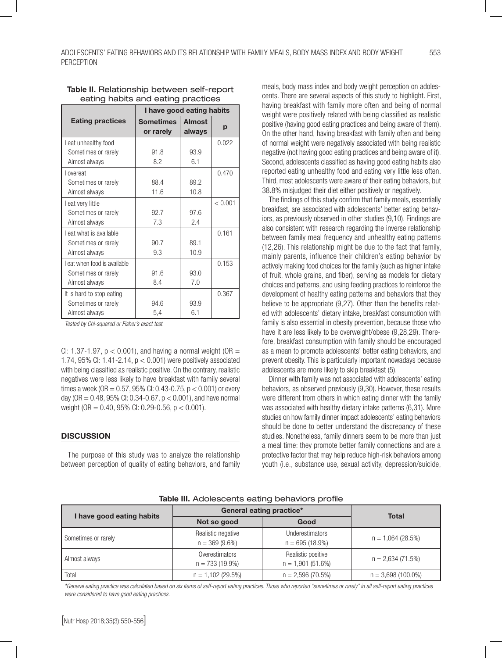|                              | I have good eating habits     |                         |         |
|------------------------------|-------------------------------|-------------------------|---------|
| <b>Eating practices</b>      | <b>Sometimes</b><br>or rarely | <b>Almost</b><br>always | р       |
| I eat unhealthy food         |                               |                         | 0.022   |
| Sometimes or rarely          | 91.8                          | 93.9                    |         |
| Almost always                | 8.2                           | 6.1                     |         |
| I overeat                    |                               |                         | 0.470   |
| Sometimes or rarely          | 88.4                          | 89.2                    |         |
| Almost always                | 11.6                          | 10.8                    |         |
| I eat very little            |                               |                         | < 0.001 |
| Sometimes or rarely          | 92.7                          | 97.6                    |         |
| Almost always                | 7.3                           | 2.4                     |         |
| I eat what is available      |                               |                         | 0.161   |
| Sometimes or rarely          | 90.7                          | 89.1                    |         |
| Almost always                | 9.3                           | 10.9                    |         |
| I eat when food is available |                               |                         | 0.153   |
| Sometimes or rarely          | 91.6                          | 93.0                    |         |
| Almost always                | 8.4                           | 7.0                     |         |
| It is hard to stop eating    |                               |                         | 0.367   |
| Sometimes or rarely          | 94.6                          | 93.9                    |         |
| Almost always                | 5,4                           | 6.1                     |         |

#### Table II. Relationship between self-report eating habits and eating practices

*Tested by Chi-squared or Fisher's exact test.*

CI: 1.37-1.97,  $p < 0.001$ ), and having a normal weight (OR = 1.74, 95% CI: 1.41-2.14, p < 0.001) were positively associated with being classified as realistic positive. On the contrary, realistic negatives were less likely to have breakfast with family several times a week (OR =  $0.57$ , 95% CI: 0.43-0.75, p < 0.001) or every day (OR =  $0.48$ , 95% CI: 0.34-0.67,  $p < 0.001$ ), and have normal weight (OR =  $0.40$ , 95% CI: 0.29-0.56, p < 0.001).

# **DISCUSSION**

The purpose of this study was to analyze the relationship between perception of quality of eating behaviors, and family meals, body mass index and body weight perception on adolescents. There are several aspects of this study to highlight. First, having breakfast with family more often and being of normal weight were positively related with being classified as realistic positive (having good eating practices and being aware of them). On the other hand, having breakfast with family often and being of normal weight were negatively associated with being realistic negative (not having good eating practices and being aware of it). Second, adolescents classified as having good eating habits also reported eating unhealthy food and eating very little less often. Third, most adolescents were aware of their eating behaviors, but 38.8% misjudged their diet either positively or negatively.

The findings of this study confirm that family meals, essentially breakfast, are associated with adolescents' better eating behaviors, as previously observed in other studies (9,10). Findings are also consistent with research regarding the inverse relationship between family meal frequency and unhealthy eating patterns (12,26). This relationship might be due to the fact that family, mainly parents, influence their children's eating behavior by actively making food choices for the family (such as higher intake of fruit, whole grains, and fiber), serving as models for dietary choices and patterns, and using feeding practices to reinforce the development of healthy eating patterns and behaviors that they believe to be appropriate (9,27). Other than the benefits related with adolescents' dietary intake, breakfast consumption with family is also essential in obesity prevention, because those who have it are less likely to be overweight/obese (9,28,29). Therefore, breakfast consumption with family should be encouraged as a mean to promote adolescents' better eating behaviors, and prevent obesity. This is particularly important nowadays because adolescents are more likely to skip breakfast (5).

Dinner with family was not associated with adolescents' eating behaviors, as observed previously (9,30). However, these results were different from others in which eating dinner with the family was associated with healthy dietary intake patterns (6,31). More studies on how family dinner impact adolescents' eating behaviors should be done to better understand the discrepancy of these studies. Nonetheless, family dinners seem to be more than just a meal time: they promote better family connections and are a protective factor that may help reduce high-risk behaviors among youth (i.e., substance use, sexual activity, depression/suicide,

| Table III. Adolescents eating behaviors profile |  |  |
|-------------------------------------------------|--|--|
|                                                 |  |  |

|                           | General eating practice*               | <b>Total</b>                                |                      |  |
|---------------------------|----------------------------------------|---------------------------------------------|----------------------|--|
| I have good eating habits | Not so good<br>Good                    |                                             |                      |  |
| Sometimes or rarely       | Realistic negative<br>$n = 369(9.6\%)$ | <b>Underestimators</b><br>$n = 695(18.9\%)$ | $n = 1,064(28.5%)$   |  |
| Almost always             | Overestimators<br>$n = 733(19.9\%)$    | Realistic positive<br>$n = 1,901(51.6%)$    | $n = 2,634(71.5%)$   |  |
| Total                     | $n = 1,102(29.5\%)$                    | $n = 2,596(70.5\%)$                         | $n = 3,698(100.0\%)$ |  |

*\*General eating practice was calculated based on six items of self-report eating practices. Those who reported "sometimes or rarely" in all self-report eating practices were considered to have good eating practices.*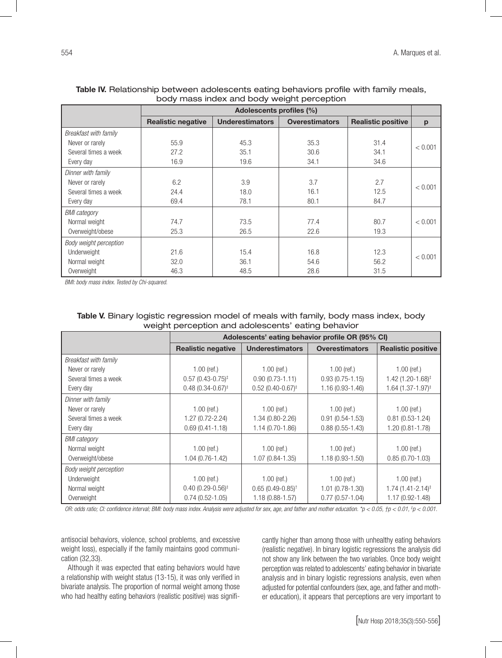| <u>souy mass mass and souy weight persophon</u> |                           |                        |                       |                           |         |
|-------------------------------------------------|---------------------------|------------------------|-----------------------|---------------------------|---------|
|                                                 | Adolescents profiles (%)  |                        |                       |                           |         |
|                                                 | <b>Realistic negative</b> | <b>Underestimators</b> | <b>Overestimators</b> | <b>Realistic positive</b> | p       |
| Breakfast with family                           |                           |                        |                       |                           |         |
| Never or rarely                                 | 55.9                      | 45.3                   | 35.3                  | 31.4                      | < 0.001 |
| Several times a week                            | 27.2                      | 35.1                   | 30.6                  | 34.1                      |         |
| Every day                                       | 16.9                      | 19.6                   | 34.1                  | 34.6                      |         |
| Dinner with family                              |                           |                        |                       |                           |         |
| Never or rarely                                 | 6.2                       | 3.9                    | 3.7                   | 2.7                       | < 0.001 |
| Several times a week                            | 24.4                      | 18.0                   | 16.1                  | 12.5                      |         |
| Every day                                       | 69.4                      | 78.1                   | 80.1                  | 84.7                      |         |
| <b>BMI</b> category                             |                           |                        |                       |                           |         |
| Normal weight                                   | 74.7                      | 73.5                   | 77.4                  | 80.7                      | < 0.001 |
| Overweight/obese                                | 25.3                      | 26.5                   | 22.6                  | 19.3                      |         |
| Body weight perception                          |                           |                        |                       |                           |         |
| Underweight                                     | 21.6                      | 15.4                   | 16.8                  | 12.3                      |         |
| Normal weight                                   | 32.0                      | 36.1                   | 54.6                  | 56.2                      | < 0.001 |
| Overweight                                      | 46.3                      | 48.5                   | 28.6                  | 31.5                      |         |

# Table IV. Relationship between adolescents eating behaviors profile with family meals, body mass index and body weight perception

*BMI: body mass index. Tested by Chi-squared.*

| Table V. Binary logistic regression model of meals with family, body mass index, body |
|---------------------------------------------------------------------------------------|
| weight perception and adolescents' eating behavior                                    |

|                        | Adolescents' eating behavior profile OR (95% CI) |                                |                       |                                 |
|------------------------|--------------------------------------------------|--------------------------------|-----------------------|---------------------------------|
|                        | <b>Realistic negative</b>                        | <b>Underestimators</b>         | <b>Overestimators</b> | <b>Realistic positive</b>       |
| Breakfast with family  |                                                  |                                |                       |                                 |
| Never or rarely        | $1.00$ (ref.)                                    | $1.00$ (ref.)                  | $1.00$ (ref.)         | $1.00$ (ref.)                   |
| Several times a week   | $0.57(0.43 - 0.75)^{\ddagger}$                   | $0.90(0.73 - 1.11)$            | $0.93(0.75 - 1.15)$   | 1.42 (1.20-1.68) <sup>‡</sup>   |
| Every day              | $0.48(0.34 - 0.67)^{\ddagger}$                   | $0.52(0.40 - 0.67)^{\ddagger}$ | 1.16 (0.93-1.46)      | $1.64$ (1.37-1.97) <sup>‡</sup> |
| Dinner with family     |                                                  |                                |                       |                                 |
| Never or rarely        | $1.00$ (ref.)                                    | $1.00$ (ref.)                  | $1.00$ (ref.)         | $1.00$ (ref.)                   |
| Several times a week   | $1.27(0.72 - 2.24)$                              | 1.34 (0.80-2.26)               | $0.91(0.54 - 1.53)$   | $0.81(0.53 - 1.24)$             |
| Every day              | $0.69(0.41 - 1.18)$                              | 1.14 (0.70-1.86)               | $0.88(0.55 - 1.43)$   | $1.20(0.81 - 1.78)$             |
| <b>BMI</b> category    |                                                  |                                |                       |                                 |
| Normal weight          | $1.00$ (ref.)                                    | $1.00$ (ref.)                  | $1.00$ (ref.)         | $1.00$ (ref.)                   |
| Overweight/obese       | $1.04(0.76 - 1.42)$                              | 1.07 (0.84-1.35)               | $1.18(0.93 - 1.50)$   | $0.85(0.70-1.03)$               |
| Body weight perception |                                                  |                                |                       |                                 |
| Underweight            | $1.00$ (ref.)                                    | $1.00$ (ref.)                  | $1.00$ (ref.)         | $1.00$ (ref.)                   |
| Normal weight          | $0.40(0.29 - 0.56)^{\ddagger}$                   | $0.65(0.49 - 0.85)^{\dagger}$  | $1.01(0.78-1.30)$     | $1.74(1.41 - 2.14)^{\ddagger}$  |
| Overweight             | $0.74(0.52 - 1.05)$                              | $1.18(0.88 - 1.57)$            | $0.77(0.57 - 1.04)$   | $1.17(0.92 - 1.48)$             |

*OR: odds ratio; CI: confidence interval; BMI: body mass index. Analysis were adjusted for sex, age, and father and mother education. \*p < 0.05, †p < 0.01, ‡ p < 0.001.*

antisocial behaviors, violence, school problems, and excessive weight loss), especially if the family maintains good communication (32,33).

Although it was expected that eating behaviors would have a relationship with weight status (13-15), it was only verified in bivariate analysis. The proportion of normal weight among those who had healthy eating behaviors (realistic positive) was significantly higher than among those with unhealthy eating behaviors (realistic negative). In binary logistic regressions the analysis did not show any link between the two variables. Once body weight perception was related to adolescents' eating behavior in bivariate analysis and in binary logistic regressions analysis, even when adjusted for potential confounders (sex, age, and father and mother education), it appears that perceptions are very important to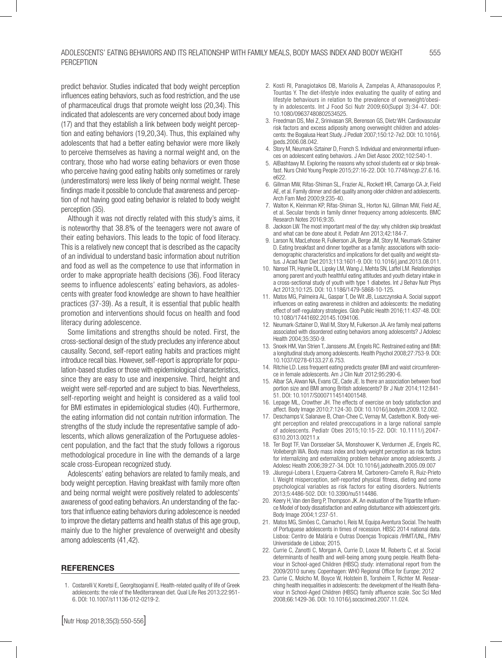predict behavior. Studies indicated that body weight perception influences eating behaviors, such as food restriction, and the use of pharmaceutical drugs that promote weight loss (20,34). This indicated that adolescents are very concerned about body image (17) and that they establish a link between body weight perception and eating behaviors (19,20,34). Thus, this explained why adolescents that had a better eating behavior were more likely to perceive themselves as having a normal weight and, on the contrary, those who had worse eating behaviors or even those who perceive having good eating habits only sometimes or rarely (underestimators) were less likely of being normal weight. These findings made it possible to conclude that awareness and perception of not having good eating behavior is related to body weight perception (35).

Although it was not directly related with this study's aims, it is noteworthy that 38.8% of the teenagers were not aware of their eating behaviors. This leads to the topic of food literacy. This is a relatively new concept that is described as the capacity of an individual to understand basic information about nutrition and food as well as the competence to use that information in order to make appropriate health decisions (36). Food literacy seems to influence adolescents' eating behaviors, as adolescents with greater food knowledge are shown to have healthier practices (37-39). As a result, it is essential that public health promotion and interventions should focus on health and food literacy during adolescence.

Some limitations and strengths should be noted. First, the cross-sectional design of the study precludes any inference about causality. Second, self-report eating habits and practices might introduce recall bias. However, self-report is appropriate for population-based studies or those with epidemiological characteristics, since they are easy to use and inexpensive. Third, height and weight were self-reported and are subject to bias. Nevertheless, self-reporting weight and height is considered as a valid tool for BMI estimates in epidemiological studies (40). Furthermore, the eating information did not contain nutrition information. The strengths of the study include the representative sample of adolescents, which allows generalization of the Portuguese adolescent population, and the fact that the study follows a rigorous methodological procedure in line with the demands of a large scale cross-European recognized study.

Adolescents' eating behaviors are related to family meals, and body weight perception. Having breakfast with family more often and being normal weight were positively related to adolescents' awareness of good eating behaviors. An understanding of the factors that influence eating behaviors during adolescence is needed to improve the dietary patterns and health status of this age group, mainly due to the higher prevalence of overweight and obesity among adolescents (41,42).

#### REFERENCES

1. Costarelli V, Koretsi E, Georgitsogianni E. Health-related quality of life of Greek adolescents: the role of the Mediterranean diet. Qual Life Res 2013;22:951- 6. DOI: 10.1007/s11136-012-0219-2.

- 2. Kosti RI, Panagiotakos DB, Mariolis A, Zampelas A, Athanasopoulos P, Tountas Y. The diet-lifestyle index evaluating the quality of eating and lifestyle behaviours in relation to the prevalence of overweight/obesity in adolescents. Int J Food Sci Nutr 2009;60(Suppl 3):34-47. DOI: 10.1080/09637480802534525.
- 3. Freedman DS, Mei Z, Srinivasan SR, Berenson GS, Dietz WH. Cardiovascular risk factors and excess adiposity among overweight children and adolescents: the Bogalusa Heart Study. J Pediatr 2007;150:12-7e2. DOI: 10.1016/j. jpeds.2006.08.042.
- 4. Story M, Neumark-Sztainer D, French S. Individual and environmental influences on adolescent eating behaviors. J Am Diet Assoc 2002;102:S40-1.
- 5. AlBashtawy M. Exploring the reasons why school students eat or skip breakfast. Nurs Child Young People 2015;27:16-22. DOI: 10.7748/ncyp.27.6.16. e622.
- 6. Gillman MW, Rifas-Shiman SL, Frazier AL, Rockett HR, Camargo CA Jr, Field AE, et al. Family dinner and diet quality among older children and adolescents. Arch Fam Med 2000;9:235-40.
- 7. Walton K, Kleinman KP, Rifas-Shiman SL, Horton NJ, Gillman MW, Field AE, et al. Secular trends in family dinner frequency among adolescents. BMC Research Notes 2016;9:35.
- 8. Jackson LW. The most important meal of the day: why children skip breakfast and what can be done about it. Pediatr Ann 2013;42:184-7.
- 9. Larson N, MacLehose R, Fulkerson JA, Berge JM, Story M, Neumark-Sztainer D. Eating breakfast and dinner together as a family: associations with sociodemographic characteristics and implications for diet quality and weight status. J Acad Nutr Diet 2013;113:1601-9. DOI: 10.1016/j.jand.2013.08.011.
- 10. Nansel TR, Haynie DL, Lipsky LM, Wang J, Mehta SN, Laffel LM. Relationships among parent and youth healthful eating attitudes and youth dietary intake in a cross-sectional study of youth with type 1 diabetes. Int J Behav Nutr Phys Act 2013;10:125. DOI: 10.1186/1479-5868-10-125.
- 11. Matos MG, Palmeira AL, Gaspar T, De Wit JB, Luszczynska A. Social support influences on eating awareness in children and adolescents: the mediating effect of self-regulatory strategies. Glob Public Health 2016;11:437-48. DOI: 10.1080/17441692.20145.1094106.
- 12. Neumark-Sztainer D, Wall M, Story M, Fulkerson JA. Are family meal patterns associated with disordered eating behaviors among adolescents? J Adolesc Health 2004;35:350-9.
- 13. Snoek HM, Van Strien T, Janssens JM, Engels RC. Restrained eating and BMI: a longitudinal study among adolescents. Health Psychol 2008;27:753-9. DOI: 10.1037/0278-6133.27.6.753.
- 14. Ritchie LD. Less frequent eating predicts greater BMI and waist circumference in female adolescents. Am J Clin Nutr 2012;95:290-6.
- 15. Albar SA, Alwan NA, Evans CE, Cade JE. Is there an association between food portion size and BMI among British adolescents? Br J Nutr 2014;112:841- 51. DOI: 10.1017/S0007114514001548.
- 16. Lepage ML, Crowther JH. The effects of exercise on body satisfaction and affect. Body Image 2010;7:124-30. DOI: 10.1016/j.bodyim.2009.12.002.
- 17. Deschamps V, Salanave B, Chan-Chee C, Vernay M, Castetbon K. Body-weight perception and related preoccupations in a large national sample of adolescents. Pediatr Obes 2015;10:15-22. DOI: 10.1111/j.2047- 6310.2013.00211.x
- 18. Ter Bogt TF, Van Dorsselaer SA, Monshouwer K, Verdurmen JE, Engels RC, Vollebergh WA. Body mass index and body weight perception as risk factors for internalizing and externalizing problem behavior among adolescents. J Adolesc Health 2006;39:27-34. DOI: 10.1016/j.jadohealth.2005.09.007
- 19. Jáuregui-Lobera I, Ezquerra-Cabrera M, Carbonero-Carreño R, Ruiz-Prieto I. Weight misperception, self-reported physical fitness, dieting and some psychological variables as risk factors for eating disorders. Nutrients 2013;5:4486-502. DOI: 10.3390/nu5114486.
- 20. Keery H, Van den Berg P, Thompson JK. An evaluation of the Tripartite Influence Model of body dissatisfaction and eating disturbance with adolescent girls. Body Image 2004;1:237-51.
- 21. Matos MG, Simões C, Camacho I, Reis M, Equipa Aventura Social. The health of Portuguese adolescents in times of recession. HBSC 2014 national data. Lisboa: Centro de Malária e Outras Doenças Tropicais /IHMT/UNL, FMH/ Universidade de Lisboa; 2015.
- 22. Currie C, Zanotti C, Morgan A, Currie D, Looze M, Roberts C, et al. Social determinants of health and well-being among young people. Health Behaviour in School-aged Children (HBSC) study: international report from the 2009/2010 survey. Copenhagen: WHO Regional Office for Europe; 2012
- 23. Currie C, Molcho M, Boyce W, Holstein B, Torsheim T, Richter M. Researching health inequalities in adolescents: the development of the Health Behaviour in School-Aged Children (HBSC) family affluence scale. Soc Sci Med 2008;66:1429-36. DOI: 10.1016/j.socscimed.2007.11.024.